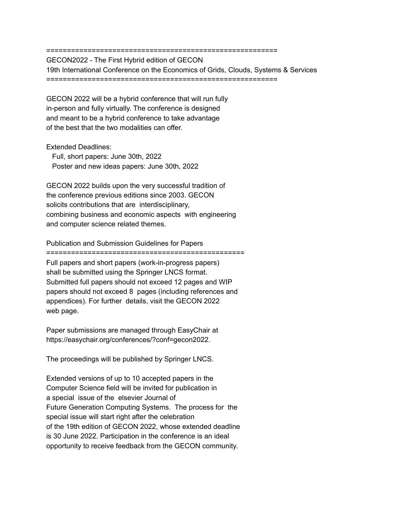#### ========================================================

GECON2022 - The First Hybrid edition of GECON 19th International Conference on the Economics of Grids, Clouds, Systems & Services ========================================================

GECON 2022 will be a hybrid conference that will run fully in-person and fully virtually. The conference is designed and meant to be a hybrid conference to take advantage of the best that the two modalities can offer.

## Extended Deadlines:

Full, short papers: June 30th, 2022 Poster and new ideas papers: June 30th, 2022

GECON 2022 builds upon the very successful tradition of the conference previous editions since 2003. GECON solicits contributions that are interdisciplinary, combining business and economic aspects with engineering and computer science related themes.

# Publication and Submission Guidelines for Papers

================================================

Full papers and short papers (work-in-progress papers) shall be submitted using the Springer LNCS format. Submitted full papers should not exceed 12 pages and WIP papers should not exceed 8 pages (including references and appendices). For further details, visit the GECON 2022 web page.

Paper submissions are managed through EasyChair at https://easychair.org/conferences/?conf=gecon2022.

The proceedings will be published by Springer LNCS.

Extended versions of up to 10 accepted papers in the Computer Science field will be invited for publication in a special issue of the elsevier Journal of Future Generation Computing Systems. The process for the special issue will start right after the celebration of the 19th edition of GECON 2022, whose extended deadline is 30 June 2022. Participation in the conference is an ideal opportunity to receive feedback from the GECON community.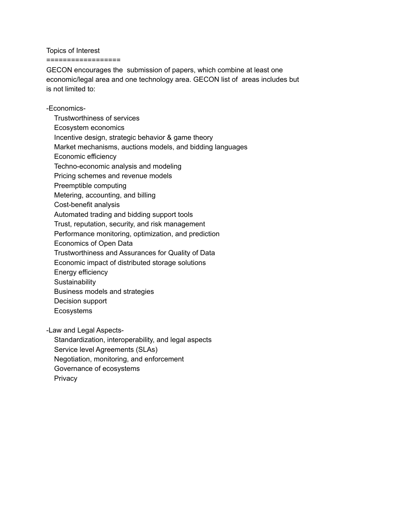Topics of Interest

## ==================

GECON encourages the submission of papers, which combine at least one economic/legal area and one technology area. GECON list of areas includes but is not limited to:

# -Economics-

Trustworthiness of services Ecosystem economics Incentive design, strategic behavior & game theory Market mechanisms, auctions models, and bidding languages Economic efficiency Techno-economic analysis and modeling Pricing schemes and revenue models Preemptible computing Metering, accounting, and billing Cost-benefit analysis Automated trading and bidding support tools Trust, reputation, security, and risk management Performance monitoring, optimization, and prediction Economics of Open Data Trustworthiness and Assurances for Quality of Data Economic impact of distributed storage solutions Energy efficiency **Sustainability** Business models and strategies Decision support Ecosystems

-Law and Legal Aspects-

Standardization, interoperability, and legal aspects Service level Agreements (SLAs) Negotiation, monitoring, and enforcement Governance of ecosystems Privacy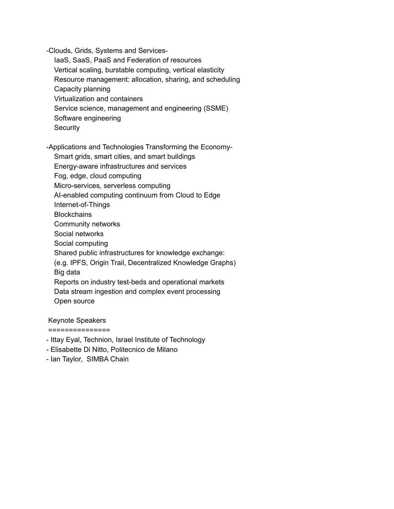-Clouds, Grids, Systems and Services-

IaaS, SaaS, PaaS and Federation of resources Vertical scaling, burstable computing, vertical elasticity Resource management: allocation, sharing, and scheduling Capacity planning Virtualization and containers Service science, management and engineering (SSME) Software engineering **Security** 

-Applications and Technologies Transforming the Economy-

Smart grids, smart cities, and smart buildings

Energy-aware infrastructures and services

Fog, edge, cloud computing

Micro-services, serverless computing

AI-enabled computing continuum from Cloud to Edge

Internet-of-Things

**Blockchains** 

Community networks

Social networks

Social computing

Shared public infrastructures for knowledge exchange:

(e.g. IPFS, Origin Trail, Decentralized Knowledge Graphs) Big data

Reports on industry test-beds and operational markets

Data stream ingestion and complex event processing

Open source

Keynote Speakers

===============

- Ittay Eyal, Technion, Israel Institute of Technology
- Elisabette Di Nitto, Politecnico de Milano
- Ian Taylor, SIMBA Chain